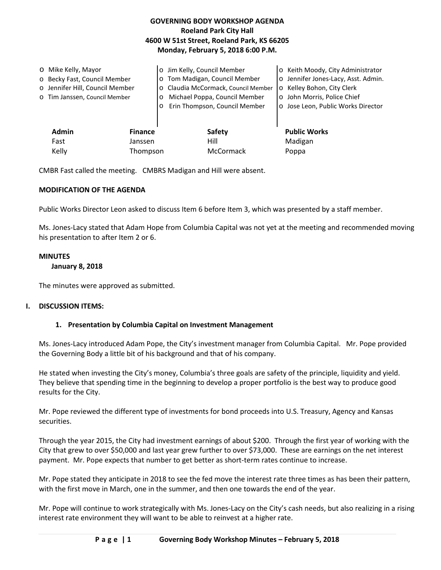| <b>GOVERNING BODY WORKSHOP AGENDA</b>      |
|--------------------------------------------|
| <b>Roeland Park City Hall</b>              |
| 4600 W 51st Street, Roeland Park, KS 66205 |
| Monday, February 5, 2018 6:00 P.M.         |
|                                            |

|                                | o Mike Kelly, Mayor             | $\overline{O}$ | Jim Kelly, Council Member           | o Keith Moody, City Administrator   |
|--------------------------------|---------------------------------|----------------|-------------------------------------|-------------------------------------|
|                                | o Becky Fast, Council Member    |                | o Tom Madigan, Council Member       | o Jennifer Jones-Lacy, Asst. Admin. |
|                                | o Jennifer Hill, Council Member |                | o Claudia McCormack, Council Member | o Kelley Bohon, City Clerk          |
|                                | o Tim Janssen, Council Member   |                | Michael Poppa, Council Member       | o John Morris, Police Chief         |
|                                |                                 | $\circ$        | Erin Thompson, Council Member       | o Jose Leon, Public Works Director  |
|                                |                                 |                |                                     |                                     |
| <b>Admin</b><br><b>Finance</b> |                                 |                | <b>Safety</b>                       | <b>Public Works</b>                 |
|                                | Fast                            | Janssen        | Hill                                | Madigan                             |
| Kelly                          |                                 | Thompson       | <b>McCormack</b>                    | Poppa                               |

CMBR Fast called the meeting. CMBRS Madigan and Hill were absent.

#### **MODIFICATION OF THE AGENDA**

Public Works Director Leon asked to discuss Item 6 before Item 3, which was presented by a staff member.

Ms. Jones-Lacy stated that Adam Hope from Columbia Capital was not yet at the meeting and recommended moving his presentation to after Item 2 or 6.

#### **MINUTES**

#### **January 8, 2018**

The minutes were approved as submitted.

#### **I. DISCUSSION ITEMS:**

#### **1. Presentation by Columbia Capital on Investment Management**

Ms. Jones-Lacy introduced Adam Pope, the City's investment manager from Columbia Capital. Mr. Pope provided the Governing Body a little bit of his background and that of his company.

He stated when investing the City's money, Columbia's three goals are safety of the principle, liquidity and yield. They believe that spending time in the beginning to develop a proper portfolio is the best way to produce good results for the City.

Mr. Pope reviewed the different type of investments for bond proceeds into U.S. Treasury, Agency and Kansas securities.

Through the year 2015, the City had investment earnings of about \$200. Through the first year of working with the City that grew to over \$50,000 and last year grew further to over \$73,000. These are earnings on the net interest payment. Mr. Pope expects that number to get better as short-term rates continue to increase.

Mr. Pope stated they anticipate in 2018 to see the fed move the interest rate three times as has been their pattern, with the first move in March, one in the summer, and then one towards the end of the year.

Mr. Pope will continue to work strategically with Ms. Jones-Lacy on the City's cash needs, but also realizing in a rising interest rate environment they will want to be able to reinvest at a higher rate.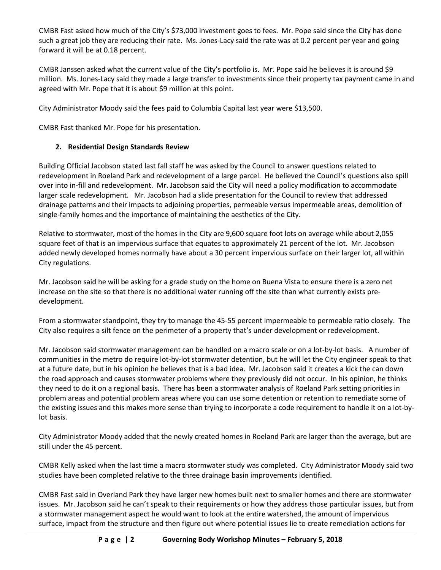CMBR Fast asked how much of the City's \$73,000 investment goes to fees. Mr. Pope said since the City has done such a great job they are reducing their rate. Ms. Jones-Lacy said the rate was at 0.2 percent per year and going forward it will be at 0.18 percent.

CMBR Janssen asked what the current value of the City's portfolio is. Mr. Pope said he believes it is around \$9 million. Ms. Jones-Lacy said they made a large transfer to investments since their property tax payment came in and agreed with Mr. Pope that it is about \$9 million at this point.

City Administrator Moody said the fees paid to Columbia Capital last year were \$13,500.

CMBR Fast thanked Mr. Pope for his presentation.

## **2. Residential Design Standards Review**

Building Official Jacobson stated last fall staff he was asked by the Council to answer questions related to redevelopment in Roeland Park and redevelopment of a large parcel. He believed the Council's questions also spill over into in-fill and redevelopment. Mr. Jacobson said the City will need a policy modification to accommodate larger scale redevelopment. Mr. Jacobson had a slide presentation for the Council to review that addressed drainage patterns and their impacts to adjoining properties, permeable versus impermeable areas, demolition of single-family homes and the importance of maintaining the aesthetics of the City.

Relative to stormwater, most of the homes in the City are 9,600 square foot lots on average while about 2,055 square feet of that is an impervious surface that equates to approximately 21 percent of the lot. Mr. Jacobson added newly developed homes normally have about a 30 percent impervious surface on their larger lot, all within City regulations.

Mr. Jacobson said he will be asking for a grade study on the home on Buena Vista to ensure there is a zero net increase on the site so that there is no additional water running off the site than what currently exists predevelopment.

From a stormwater standpoint, they try to manage the 45-55 percent impermeable to permeable ratio closely. The City also requires a silt fence on the perimeter of a property that's under development or redevelopment.

Mr. Jacobson said stormwater management can be handled on a macro scale or on a lot-by-lot basis. A number of communities in the metro do require lot-by-lot stormwater detention, but he will let the City engineer speak to that at a future date, but in his opinion he believes that is a bad idea. Mr. Jacobson said it creates a kick the can down the road approach and causes stormwater problems where they previously did not occur. In his opinion, he thinks they need to do it on a regional basis. There has been a stormwater analysis of Roeland Park setting priorities in problem areas and potential problem areas where you can use some detention or retention to remediate some of the existing issues and this makes more sense than trying to incorporate a code requirement to handle it on a lot-bylot basis.

City Administrator Moody added that the newly created homes in Roeland Park are larger than the average, but are still under the 45 percent.

CMBR Kelly asked when the last time a macro stormwater study was completed. City Administrator Moody said two studies have been completed relative to the three drainage basin improvements identified.

CMBR Fast said in Overland Park they have larger new homes built next to smaller homes and there are stormwater issues. Mr. Jacobson said he can't speak to their requirements or how they address those particular issues, but from a stormwater management aspect he would want to look at the entire watershed, the amount of impervious surface, impact from the structure and then figure out where potential issues lie to create remediation actions for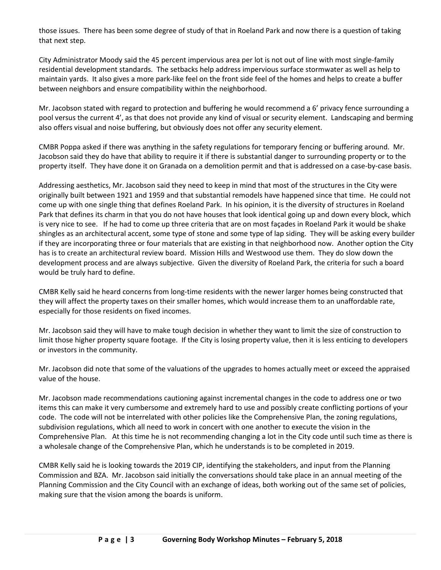those issues. There has been some degree of study of that in Roeland Park and now there is a question of taking that next step.

City Administrator Moody said the 45 percent impervious area per lot is not out of line with most single-family residential development standards. The setbacks help address impervious surface stormwater as well as help to maintain yards. It also gives a more park-like feel on the front side feel of the homes and helps to create a buffer between neighbors and ensure compatibility within the neighborhood.

Mr. Jacobson stated with regard to protection and buffering he would recommend a 6' privacy fence surrounding a pool versus the current 4', as that does not provide any kind of visual or security element. Landscaping and berming also offers visual and noise buffering, but obviously does not offer any security element.

CMBR Poppa asked if there was anything in the safety regulations for temporary fencing or buffering around. Mr. Jacobson said they do have that ability to require it if there is substantial danger to surrounding property or to the property itself. They have done it on Granada on a demolition permit and that is addressed on a case-by-case basis.

Addressing aesthetics, Mr. Jacobson said they need to keep in mind that most of the structures in the City were originally built between 1921 and 1959 and that substantial remodels have happened since that time. He could not come up with one single thing that defines Roeland Park. In his opinion, it is the diversity of structures in Roeland Park that defines its charm in that you do not have houses that look identical going up and down every block, which is very nice to see. If he had to come up three criteria that are on most façades in Roeland Park it would be shake shingles as an architectural accent, some type of stone and some type of lap siding. They will be asking every builder if they are incorporating three or four materials that are existing in that neighborhood now. Another option the City has is to create an architectural review board. Mission Hills and Westwood use them. They do slow down the development process and are always subjective. Given the diversity of Roeland Park, the criteria for such a board would be truly hard to define.

CMBR Kelly said he heard concerns from long-time residents with the newer larger homes being constructed that they will affect the property taxes on their smaller homes, which would increase them to an unaffordable rate, especially for those residents on fixed incomes.

Mr. Jacobson said they will have to make tough decision in whether they want to limit the size of construction to limit those higher property square footage. If the City is losing property value, then it is less enticing to developers or investors in the community.

Mr. Jacobson did note that some of the valuations of the upgrades to homes actually meet or exceed the appraised value of the house.

Mr. Jacobson made recommendations cautioning against incremental changes in the code to address one or two items this can make it very cumbersome and extremely hard to use and possibly create conflicting portions of your code. The code will not be interrelated with other policies like the Comprehensive Plan, the zoning regulations, subdivision regulations, which all need to work in concert with one another to execute the vision in the Comprehensive Plan. At this time he is not recommending changing a lot in the City code until such time as there is a wholesale change of the Comprehensive Plan, which he understands is to be completed in 2019.

CMBR Kelly said he is looking towards the 2019 CIP, identifying the stakeholders, and input from the Planning Commission and BZA. Mr. Jacobson said initially the conversations should take place in an annual meeting of the Planning Commission and the City Council with an exchange of ideas, both working out of the same set of policies, making sure that the vision among the boards is uniform.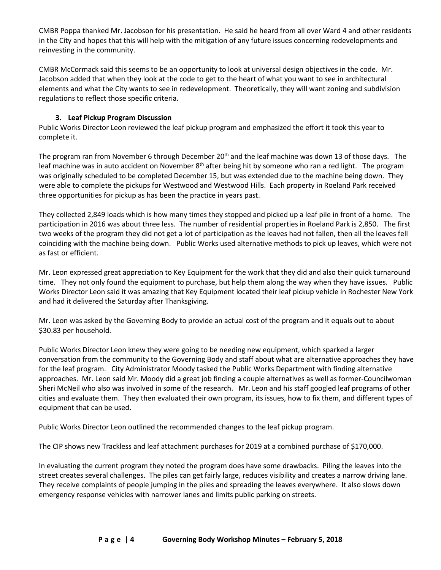CMBR Poppa thanked Mr. Jacobson for his presentation. He said he heard from all over Ward 4 and other residents in the City and hopes that this will help with the mitigation of any future issues concerning redevelopments and reinvesting in the community.

CMBR McCormack said this seems to be an opportunity to look at universal design objectives in the code. Mr. Jacobson added that when they look at the code to get to the heart of what you want to see in architectural elements and what the City wants to see in redevelopment. Theoretically, they will want zoning and subdivision regulations to reflect those specific criteria.

## **3. Leaf Pickup Program Discussion**

Public Works Director Leon reviewed the leaf pickup program and emphasized the effort it took this year to complete it.

The program ran from November 6 through December  $20<sup>th</sup>$  and the leaf machine was down 13 of those days. The leaf machine was in auto accident on November 8<sup>th</sup> after being hit by someone who ran a red light. The program was originally scheduled to be completed December 15, but was extended due to the machine being down. They were able to complete the pickups for Westwood and Westwood Hills. Each property in Roeland Park received three opportunities for pickup as has been the practice in years past.

They collected 2,849 loads which is how many times they stopped and picked up a leaf pile in front of a home. The participation in 2016 was about three less. The number of residential properties in Roeland Park is 2,850. The first two weeks of the program they did not get a lot of participation as the leaves had not fallen, then all the leaves fell coinciding with the machine being down. Public Works used alternative methods to pick up leaves, which were not as fast or efficient.

Mr. Leon expressed great appreciation to Key Equipment for the work that they did and also their quick turnaround time. They not only found the equipment to purchase, but help them along the way when they have issues. Public Works Director Leon said it was amazing that Key Equipment located their leaf pickup vehicle in Rochester New York and had it delivered the Saturday after Thanksgiving.

Mr. Leon was asked by the Governing Body to provide an actual cost of the program and it equals out to about \$30.83 per household.

Public Works Director Leon knew they were going to be needing new equipment, which sparked a larger conversation from the community to the Governing Body and staff about what are alternative approaches they have for the leaf program. City Administrator Moody tasked the Public Works Department with finding alternative approaches. Mr. Leon said Mr. Moody did a great job finding a couple alternatives as well as former-Councilwoman Sheri McNeil who also was involved in some of the research. Mr. Leon and his staff googled leaf programs of other cities and evaluate them. They then evaluated their own program, its issues, how to fix them, and different types of equipment that can be used.

Public Works Director Leon outlined the recommended changes to the leaf pickup program.

The CIP shows new Trackless and leaf attachment purchases for 2019 at a combined purchase of \$170,000.

In evaluating the current program they noted the program does have some drawbacks. Piling the leaves into the street creates several challenges. The piles can get fairly large, reduces visibility and creates a narrow driving lane. They receive complaints of people jumping in the piles and spreading the leaves everywhere. It also slows down emergency response vehicles with narrower lanes and limits public parking on streets.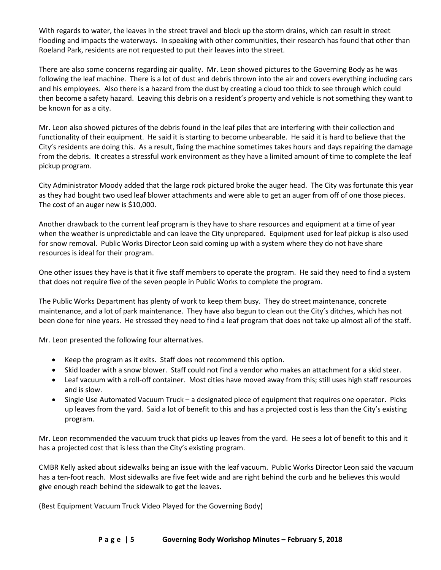With regards to water, the leaves in the street travel and block up the storm drains, which can result in street flooding and impacts the waterways. In speaking with other communities, their research has found that other than Roeland Park, residents are not requested to put their leaves into the street.

There are also some concerns regarding air quality. Mr. Leon showed pictures to the Governing Body as he was following the leaf machine. There is a lot of dust and debris thrown into the air and covers everything including cars and his employees. Also there is a hazard from the dust by creating a cloud too thick to see through which could then become a safety hazard. Leaving this debris on a resident's property and vehicle is not something they want to be known for as a city.

Mr. Leon also showed pictures of the debris found in the leaf piles that are interfering with their collection and functionality of their equipment. He said it is starting to become unbearable. He said it is hard to believe that the City's residents are doing this. As a result, fixing the machine sometimes takes hours and days repairing the damage from the debris. It creates a stressful work environment as they have a limited amount of time to complete the leaf pickup program.

City Administrator Moody added that the large rock pictured broke the auger head. The City was fortunate this year as they had bought two used leaf blower attachments and were able to get an auger from off of one those pieces. The cost of an auger new is \$10,000.

Another drawback to the current leaf program is they have to share resources and equipment at a time of year when the weather is unpredictable and can leave the City unprepared. Equipment used for leaf pickup is also used for snow removal. Public Works Director Leon said coming up with a system where they do not have share resources is ideal for their program.

One other issues they have is that it five staff members to operate the program. He said they need to find a system that does not require five of the seven people in Public Works to complete the program.

The Public Works Department has plenty of work to keep them busy. They do street maintenance, concrete maintenance, and a lot of park maintenance. They have also begun to clean out the City's ditches, which has not been done for nine years. He stressed they need to find a leaf program that does not take up almost all of the staff.

Mr. Leon presented the following four alternatives.

- Keep the program as it exits. Staff does not recommend this option.
- Skid loader with a snow blower. Staff could not find a vendor who makes an attachment for a skid steer.
- Leaf vacuum with a roll-off container. Most cities have moved away from this; still uses high staff resources and is slow.
- Single Use Automated Vacuum Truck a designated piece of equipment that requires one operator. Picks up leaves from the yard. Said a lot of benefit to this and has a projected cost is less than the City's existing program.

Mr. Leon recommended the vacuum truck that picks up leaves from the yard. He sees a lot of benefit to this and it has a projected cost that is less than the City's existing program.

CMBR Kelly asked about sidewalks being an issue with the leaf vacuum. Public Works Director Leon said the vacuum has a ten-foot reach. Most sidewalks are five feet wide and are right behind the curb and he believes this would give enough reach behind the sidewalk to get the leaves.

(Best Equipment Vacuum Truck Video Played for the Governing Body)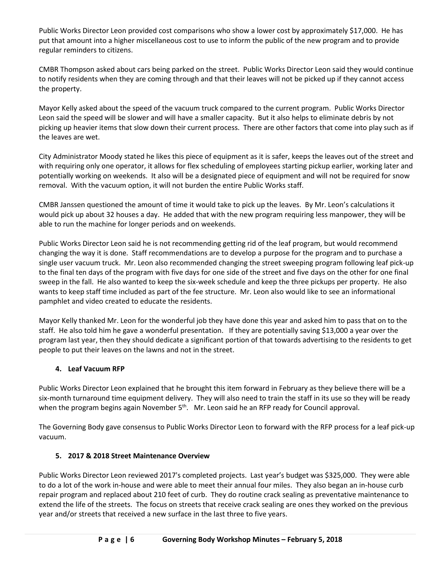Public Works Director Leon provided cost comparisons who show a lower cost by approximately \$17,000. He has put that amount into a higher miscellaneous cost to use to inform the public of the new program and to provide regular reminders to citizens.

CMBR Thompson asked about cars being parked on the street. Public Works Director Leon said they would continue to notify residents when they are coming through and that their leaves will not be picked up if they cannot access the property.

Mayor Kelly asked about the speed of the vacuum truck compared to the current program. Public Works Director Leon said the speed will be slower and will have a smaller capacity. But it also helps to eliminate debris by not picking up heavier items that slow down their current process. There are other factors that come into play such as if the leaves are wet.

City Administrator Moody stated he likes this piece of equipment as it is safer, keeps the leaves out of the street and with requiring only one operator, it allows for flex scheduling of employees starting pickup earlier, working later and potentially working on weekends. It also will be a designated piece of equipment and will not be required for snow removal. With the vacuum option, it will not burden the entire Public Works staff.

CMBR Janssen questioned the amount of time it would take to pick up the leaves. By Mr. Leon's calculations it would pick up about 32 houses a day. He added that with the new program requiring less manpower, they will be able to run the machine for longer periods and on weekends.

Public Works Director Leon said he is not recommending getting rid of the leaf program, but would recommend changing the way it is done. Staff recommendations are to develop a purpose for the program and to purchase a single user vacuum truck. Mr. Leon also recommended changing the street sweeping program following leaf pick-up to the final ten days of the program with five days for one side of the street and five days on the other for one final sweep in the fall. He also wanted to keep the six-week schedule and keep the three pickups per property. He also wants to keep staff time included as part of the fee structure. Mr. Leon also would like to see an informational pamphlet and video created to educate the residents.

Mayor Kelly thanked Mr. Leon for the wonderful job they have done this year and asked him to pass that on to the staff. He also told him he gave a wonderful presentation. If they are potentially saving \$13,000 a year over the program last year, then they should dedicate a significant portion of that towards advertising to the residents to get people to put their leaves on the lawns and not in the street.

# **4. Leaf Vacuum RFP**

Public Works Director Leon explained that he brought this item forward in February as they believe there will be a six-month turnaround time equipment delivery. They will also need to train the staff in its use so they will be ready when the program begins again November 5<sup>th</sup>. Mr. Leon said he an RFP ready for Council approval.

The Governing Body gave consensus to Public Works Director Leon to forward with the RFP process for a leaf pick-up vacuum.

### **5. 2017 & 2018 Street Maintenance Overview**

Public Works Director Leon reviewed 2017's completed projects. Last year's budget was \$325,000. They were able to do a lot of the work in-house and were able to meet their annual four miles. They also began an in-house curb repair program and replaced about 210 feet of curb. They do routine crack sealing as preventative maintenance to extend the life of the streets. The focus on streets that receive crack sealing are ones they worked on the previous year and/or streets that received a new surface in the last three to five years.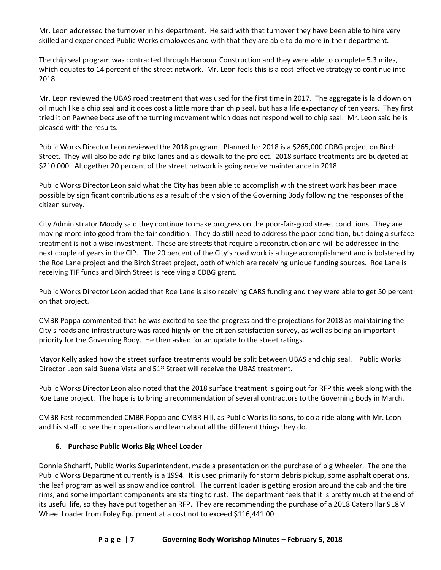Mr. Leon addressed the turnover in his department. He said with that turnover they have been able to hire very skilled and experienced Public Works employees and with that they are able to do more in their department.

The chip seal program was contracted through Harbour Construction and they were able to complete 5.3 miles, which equates to 14 percent of the street network. Mr. Leon feels this is a cost-effective strategy to continue into 2018.

Mr. Leon reviewed the UBAS road treatment that was used for the first time in 2017. The aggregate is laid down on oil much like a chip seal and it does cost a little more than chip seal, but has a life expectancy of ten years. They first tried it on Pawnee because of the turning movement which does not respond well to chip seal. Mr. Leon said he is pleased with the results.

Public Works Director Leon reviewed the 2018 program. Planned for 2018 is a \$265,000 CDBG project on Birch Street. They will also be adding bike lanes and a sidewalk to the project. 2018 surface treatments are budgeted at \$210,000. Altogether 20 percent of the street network is going receive maintenance in 2018.

Public Works Director Leon said what the City has been able to accomplish with the street work has been made possible by significant contributions as a result of the vision of the Governing Body following the responses of the citizen survey.

City Administrator Moody said they continue to make progress on the poor-fair-good street conditions. They are moving more into good from the fair condition. They do still need to address the poor condition, but doing a surface treatment is not a wise investment. These are streets that require a reconstruction and will be addressed in the next couple of years in the CIP. The 20 percent of the City's road work is a huge accomplishment and is bolstered by the Roe Lane project and the Birch Street project, both of which are receiving unique funding sources. Roe Lane is receiving TIF funds and Birch Street is receiving a CDBG grant.

Public Works Director Leon added that Roe Lane is also receiving CARS funding and they were able to get 50 percent on that project.

CMBR Poppa commented that he was excited to see the progress and the projections for 2018 as maintaining the City's roads and infrastructure was rated highly on the citizen satisfaction survey, as well as being an important priority for the Governing Body. He then asked for an update to the street ratings.

Mayor Kelly asked how the street surface treatments would be split between UBAS and chip seal. Public Works Director Leon said Buena Vista and 51<sup>st</sup> Street will receive the UBAS treatment.

Public Works Director Leon also noted that the 2018 surface treatment is going out for RFP this week along with the Roe Lane project. The hope is to bring a recommendation of several contractors to the Governing Body in March.

CMBR Fast recommended CMBR Poppa and CMBR Hill, as Public Works liaisons, to do a ride-along with Mr. Leon and his staff to see their operations and learn about all the different things they do.

### **6. Purchase Public Works Big Wheel Loader**

Donnie Shcharff, Public Works Superintendent, made a presentation on the purchase of big Wheeler. The one the Public Works Department currently is a 1994. It is used primarily for storm debris pickup, some asphalt operations, the leaf program as well as snow and ice control. The current loader is getting erosion around the cab and the tire rims, and some important components are starting to rust. The department feels that it is pretty much at the end of its useful life, so they have put together an RFP. They are recommending the purchase of a 2018 Caterpillar 918M Wheel Loader from Foley Equipment at a cost not to exceed \$116,441.00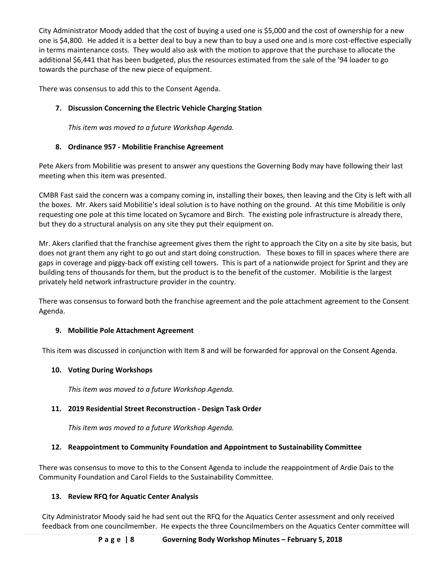City Administrator Moody added that the cost of buying a used one is \$5,000 and the cost of ownership for a new one is \$4,800. He added it is a better deal to buy a new than to buy a used one and is more cost-effective especially in terms maintenance costs. They would also ask with the motion to approve that the purchase to allocate the additional \$6,441 that has been budgeted, plus the resources estimated from the sale of the '94 loader to go towards the purchase of the new piece of equipment.

There was consensus to add this to the Consent Agenda.

## **7. Discussion Concerning the Electric Vehicle Charging Station**

*This item was moved to a future Workshop Agenda.* 

## **8. Ordinance 957 - Mobilitie Franchise Agreement**

Pete Akers from Mobilitie was present to answer any questions the Governing Body may have following their last meeting when this item was presented.

CMBR Fast said the concern was a company coming in, installing their boxes, then leaving and the City is left with all the boxes. Mr. Akers said Mobilitie's ideal solution is to have nothing on the ground. At this time Mobilitie is only requesting one pole at this time located on Sycamore and Birch. The existing pole infrastructure is already there, but they do a structural analysis on any site they put their equipment on.

Mr. Akers clarified that the franchise agreement gives them the right to approach the City on a site by site basis, but does not grant them any right to go out and start doing construction. These boxes to fill in spaces where there are gaps in coverage and piggy-back off existing cell towers. This is part of a nationwide project for Sprint and they are building tens of thousands for them, but the product is to the benefit of the customer. Mobilitie is the largest privately held network infrastructure provider in the country.

There was consensus to forward both the franchise agreement and the pole attachment agreement to the Consent Agenda.

### **9. Mobilitie Pole Attachment Agreement**

This item was discussed in conjunction with Item 8 and will be forwarded for approval on the Consent Agenda.

### **10. Voting During Workshops**

*This item was moved to a future Workshop Agenda.* 

# **11. 2019 Residential Street Reconstruction - Design Task Order**

*This item was moved to a future Workshop Agenda.* 

# **12. Reappointment to Community Foundation and Appointment to Sustainability Committee**

There was consensus to move to this to the Consent Agenda to include the reappointment of Ardie Dais to the Community Foundation and Carol Fields to the Sustainability Committee.

# **13. Review RFQ for Aquatic Center Analysis**

City Administrator Moody said he had sent out the RFQ for the Aquatics Center assessment and only received feedback from one councilmember. He expects the three Councilmembers on the Aquatics Center committee will